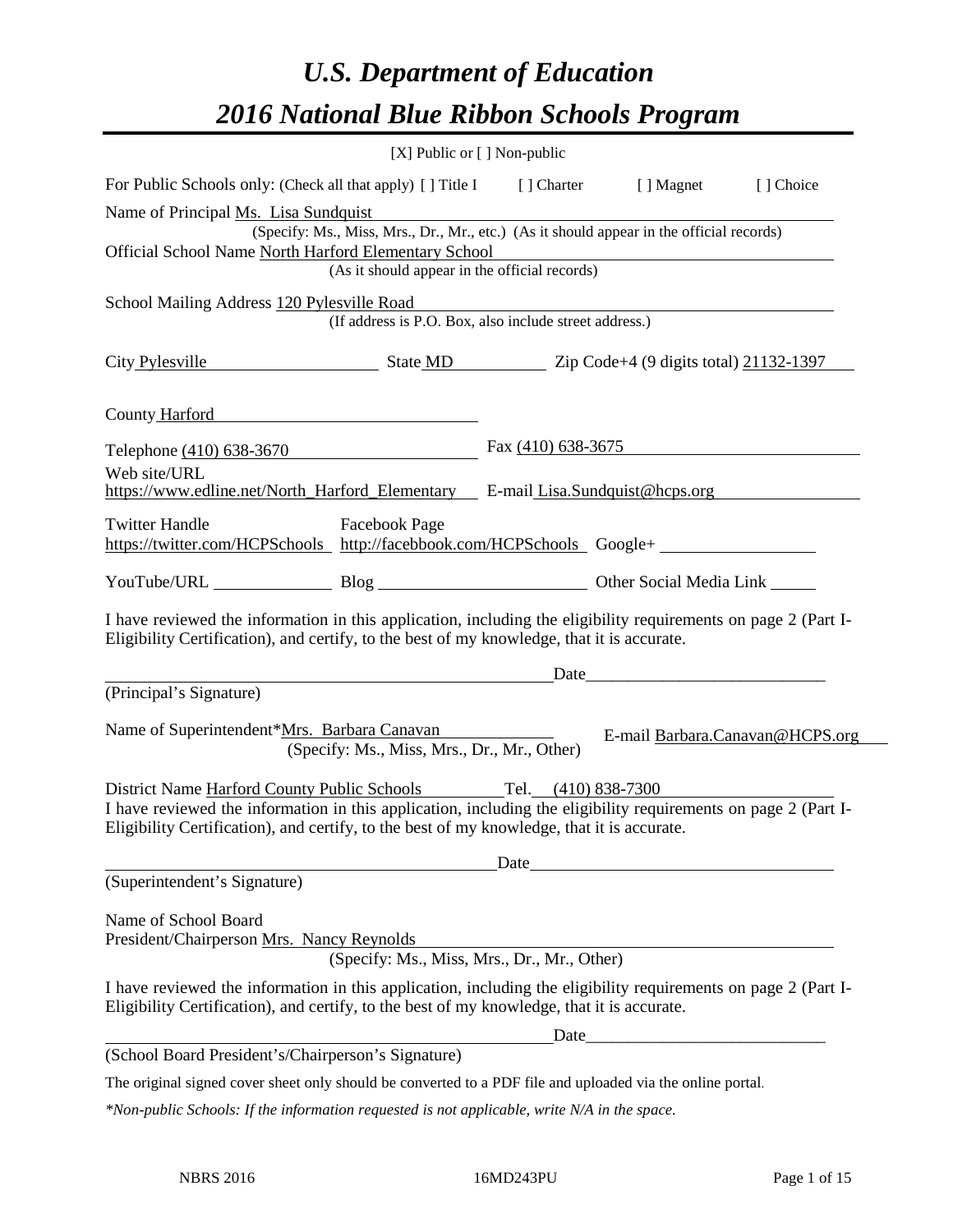# *U.S. Department of Education 2016 National Blue Ribbon Schools Program*

|                                                                                                                                                                                                              | [X] Public or [] Non-public                            |                      |                                                                                          |                                 |
|--------------------------------------------------------------------------------------------------------------------------------------------------------------------------------------------------------------|--------------------------------------------------------|----------------------|------------------------------------------------------------------------------------------|---------------------------------|
| For Public Schools only: (Check all that apply) [] Title I [] Charter [] Magnet                                                                                                                              |                                                        |                      |                                                                                          | [] Choice                       |
| Name of Principal Ms. Lisa Sundquist                                                                                                                                                                         |                                                        |                      |                                                                                          |                                 |
|                                                                                                                                                                                                              |                                                        |                      | (Specify: Ms., Miss, Mrs., Dr., Mr., etc.) (As it should appear in the official records) |                                 |
| Official School Name North Harford Elementary School                                                                                                                                                         | (As it should appear in the official records)          |                      |                                                                                          |                                 |
|                                                                                                                                                                                                              |                                                        |                      |                                                                                          |                                 |
| School Mailing Address 120 Pylesville Road                                                                                                                                                                   | (If address is P.O. Box, also include street address.) |                      |                                                                                          |                                 |
|                                                                                                                                                                                                              |                                                        |                      |                                                                                          |                                 |
| City Pylesville State MD Zip Code+4 (9 digits total) 21132-1397                                                                                                                                              |                                                        |                      |                                                                                          |                                 |
| County Harford                                                                                                                                                                                               |                                                        |                      |                                                                                          |                                 |
| Telephone (410) 638-3670                                                                                                                                                                                     |                                                        | Fax $(410)$ 638-3675 |                                                                                          |                                 |
| Web site/URL                                                                                                                                                                                                 |                                                        |                      |                                                                                          |                                 |
| https://www.edline.net/North Harford Elementary E-mail Lisa.Sundquist@hcps.org                                                                                                                               |                                                        |                      |                                                                                          |                                 |
| <b>Twitter Handle</b><br>https://twitter.com/HCPSchools http://facebbook.com/HCPSchools Google+                                                                                                              | <b>Facebook Page</b>                                   |                      |                                                                                          |                                 |
| YouTube/URL Blog Blog Cher Social Media Link                                                                                                                                                                 |                                                        |                      |                                                                                          |                                 |
| I have reviewed the information in this application, including the eligibility requirements on page 2 (Part I-<br>Eligibility Certification), and certify, to the best of my knowledge, that it is accurate. |                                                        |                      |                                                                                          |                                 |
|                                                                                                                                                                                                              |                                                        |                      | Date                                                                                     |                                 |
| (Principal's Signature)                                                                                                                                                                                      |                                                        |                      |                                                                                          |                                 |
| Name of Superintendent*Mrs. Barbara Canavan                                                                                                                                                                  | (Specify: Ms., Miss, Mrs., Dr., Mr., Other)            |                      |                                                                                          | E-mail Barbara.Canavan@HCPS.org |
| District Name Harford County Public Schools Tel. (410) 838-7300                                                                                                                                              |                                                        |                      |                                                                                          |                                 |
| I have reviewed the information in this application, including the eligibility requirements on page 2 (Part I-<br>Eligibility Certification), and certify, to the best of my knowledge, that it is accurate. |                                                        |                      |                                                                                          |                                 |
|                                                                                                                                                                                                              |                                                        |                      |                                                                                          |                                 |
| (Superintendent's Signature)                                                                                                                                                                                 |                                                        |                      |                                                                                          |                                 |
| Name of School Board<br>President/Chairperson Mrs. Nancy Reynolds                                                                                                                                            | (Specify: Ms., Miss, Mrs., Dr., Mr., Other)            |                      |                                                                                          |                                 |
|                                                                                                                                                                                                              |                                                        |                      |                                                                                          |                                 |
| I have reviewed the information in this application, including the eligibility requirements on page 2 (Part I-<br>Eligibility Certification), and certify, to the best of my knowledge, that it is accurate. |                                                        |                      |                                                                                          |                                 |
|                                                                                                                                                                                                              |                                                        | Date                 |                                                                                          |                                 |
| (School Board President's/Chairperson's Signature)                                                                                                                                                           |                                                        |                      |                                                                                          |                                 |
| The original signed cover sheet only should be converted to a PDF file and uploaded via the online portal.                                                                                                   |                                                        |                      |                                                                                          |                                 |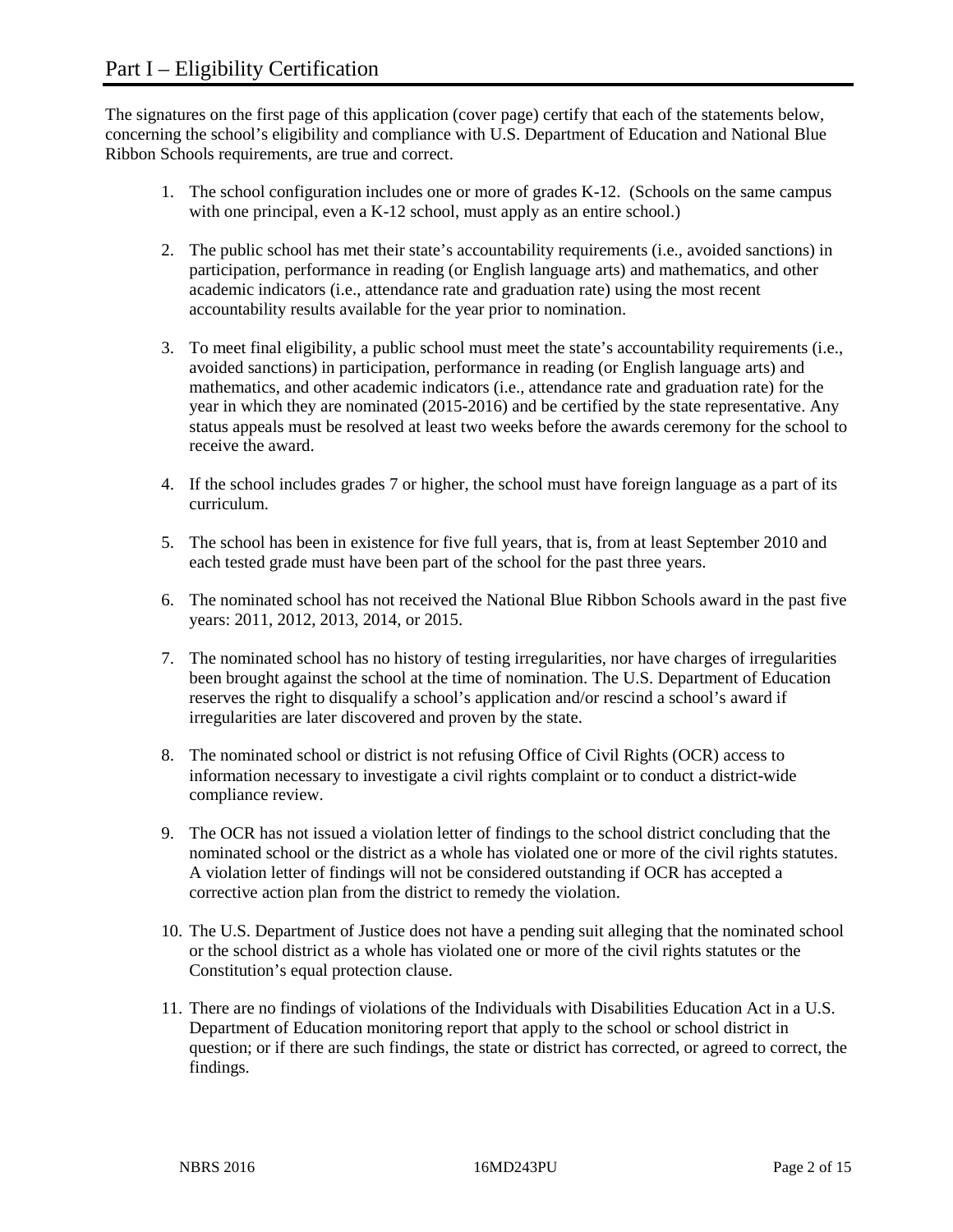The signatures on the first page of this application (cover page) certify that each of the statements below, concerning the school's eligibility and compliance with U.S. Department of Education and National Blue Ribbon Schools requirements, are true and correct.

- 1. The school configuration includes one or more of grades K-12. (Schools on the same campus with one principal, even a K-12 school, must apply as an entire school.)
- 2. The public school has met their state's accountability requirements (i.e., avoided sanctions) in participation, performance in reading (or English language arts) and mathematics, and other academic indicators (i.e., attendance rate and graduation rate) using the most recent accountability results available for the year prior to nomination.
- 3. To meet final eligibility, a public school must meet the state's accountability requirements (i.e., avoided sanctions) in participation, performance in reading (or English language arts) and mathematics, and other academic indicators (i.e., attendance rate and graduation rate) for the year in which they are nominated (2015-2016) and be certified by the state representative. Any status appeals must be resolved at least two weeks before the awards ceremony for the school to receive the award.
- 4. If the school includes grades 7 or higher, the school must have foreign language as a part of its curriculum.
- 5. The school has been in existence for five full years, that is, from at least September 2010 and each tested grade must have been part of the school for the past three years.
- 6. The nominated school has not received the National Blue Ribbon Schools award in the past five years: 2011, 2012, 2013, 2014, or 2015.
- 7. The nominated school has no history of testing irregularities, nor have charges of irregularities been brought against the school at the time of nomination. The U.S. Department of Education reserves the right to disqualify a school's application and/or rescind a school's award if irregularities are later discovered and proven by the state.
- 8. The nominated school or district is not refusing Office of Civil Rights (OCR) access to information necessary to investigate a civil rights complaint or to conduct a district-wide compliance review.
- 9. The OCR has not issued a violation letter of findings to the school district concluding that the nominated school or the district as a whole has violated one or more of the civil rights statutes. A violation letter of findings will not be considered outstanding if OCR has accepted a corrective action plan from the district to remedy the violation.
- 10. The U.S. Department of Justice does not have a pending suit alleging that the nominated school or the school district as a whole has violated one or more of the civil rights statutes or the Constitution's equal protection clause.
- 11. There are no findings of violations of the Individuals with Disabilities Education Act in a U.S. Department of Education monitoring report that apply to the school or school district in question; or if there are such findings, the state or district has corrected, or agreed to correct, the findings.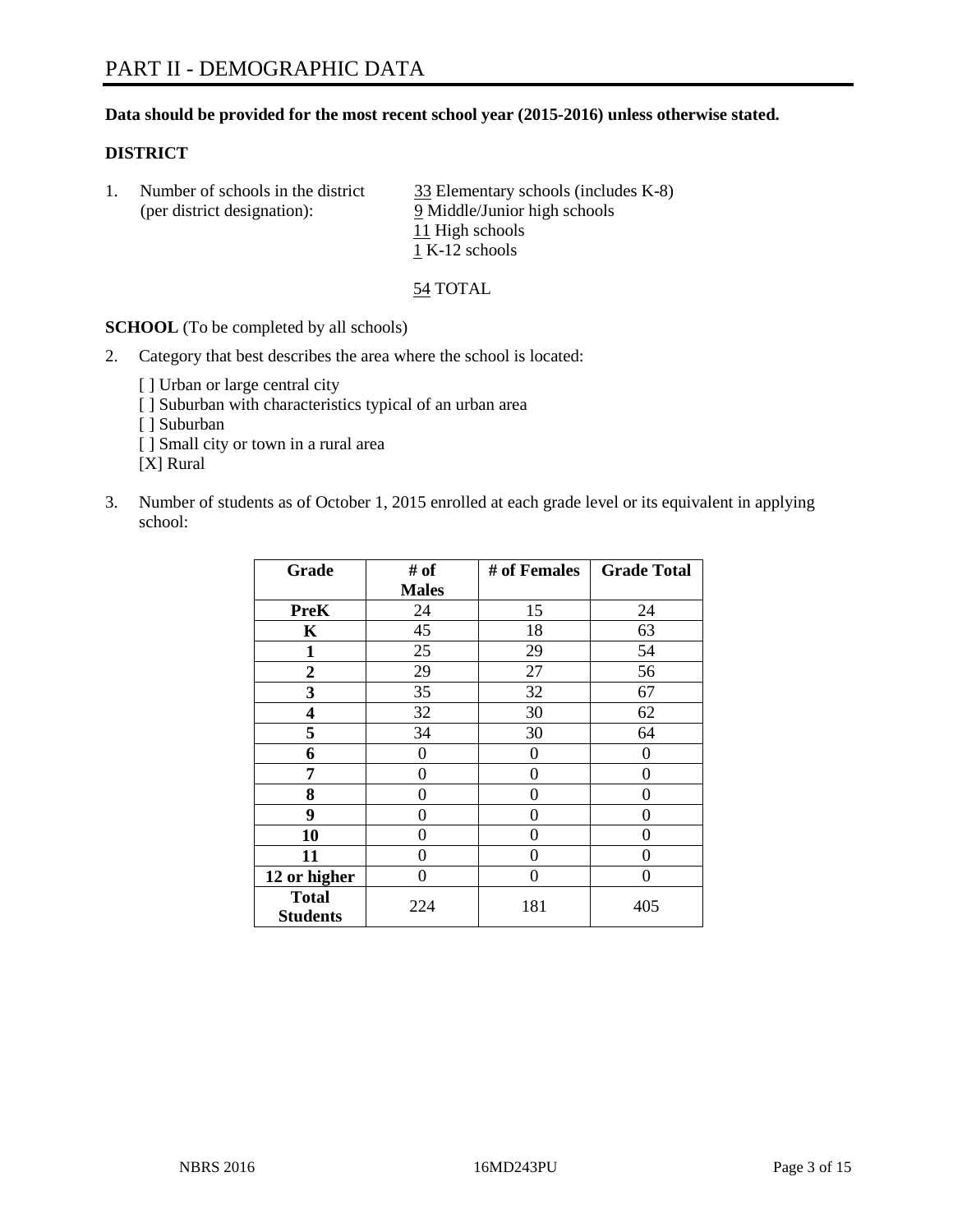# **Data should be provided for the most recent school year (2015-2016) unless otherwise stated.**

# **DISTRICT**

|  | Number of schools in the district<br>(per district designation): | 33 Elementary schools (includes K-8)<br>9 Middle/Junior high schools |
|--|------------------------------------------------------------------|----------------------------------------------------------------------|
|  |                                                                  | 11 High schools                                                      |
|  |                                                                  | 1 K-12 schools                                                       |

54 TOTAL

**SCHOOL** (To be completed by all schools)

- 2. Category that best describes the area where the school is located:
	- [ ] Urban or large central city [ ] Suburban with characteristics typical of an urban area [ ] Suburban [ ] Small city or town in a rural area [X] Rural
- 3. Number of students as of October 1, 2015 enrolled at each grade level or its equivalent in applying school:

| Grade                           | # of         | # of Females | <b>Grade Total</b> |
|---------------------------------|--------------|--------------|--------------------|
|                                 | <b>Males</b> |              |                    |
| <b>PreK</b>                     | 24           | 15           | 24                 |
| K                               | 45           | 18           | 63                 |
| 1                               | 25           | 29           | 54                 |
| $\overline{2}$                  | 29           | 27           | 56                 |
| 3                               | 35           | 32           | 67                 |
| 4                               | 32           | 30           | 62                 |
| 5                               | 34           | 30           | 64                 |
| 6                               | 0            | 0            | 0                  |
| 7                               | 0            | $\theta$     | 0                  |
| 8                               | 0            | 0            | 0                  |
| 9                               | 0            | 0            | 0                  |
| 10                              | 0            | 0            | 0                  |
| 11                              | 0            | 0            | $\Omega$           |
| 12 or higher                    | 0            | 0            | 0                  |
| <b>Total</b><br><b>Students</b> | 224          | 181          | 405                |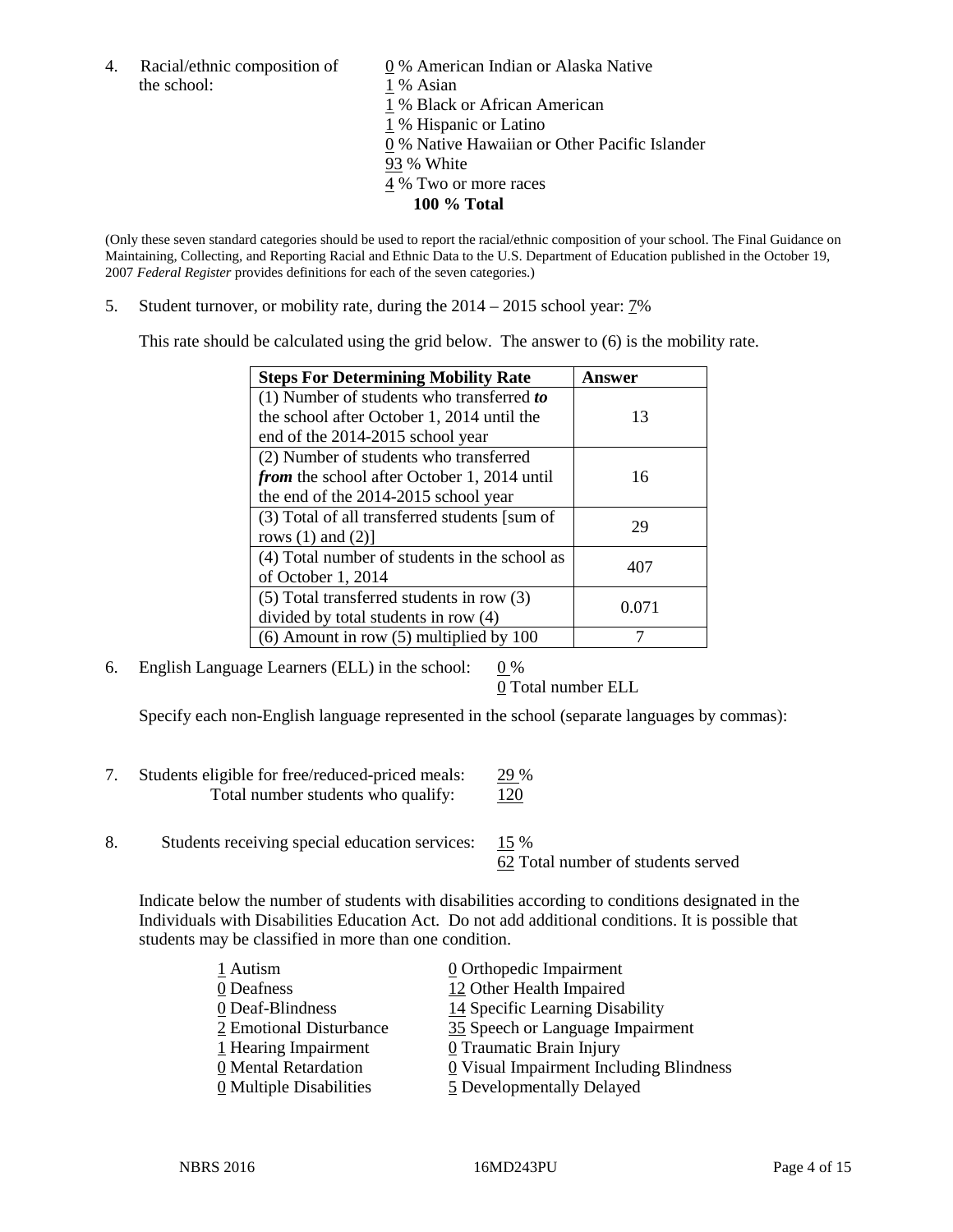the school: 1 % Asian

4. Racial/ethnic composition of  $\qquad \qquad \underline{0}$  % American Indian or Alaska Native

1 % Black or African American

1 % Hispanic or Latino

0 % Native Hawaiian or Other Pacific Islander

93 % White

- 4 % Two or more races
	- **100 % Total**

(Only these seven standard categories should be used to report the racial/ethnic composition of your school. The Final Guidance on Maintaining, Collecting, and Reporting Racial and Ethnic Data to the U.S. Department of Education published in the October 19, 2007 *Federal Register* provides definitions for each of the seven categories.)

5. Student turnover, or mobility rate, during the  $2014 - 2015$  school year:  $7\%$ 

This rate should be calculated using the grid below. The answer to (6) is the mobility rate.

| <b>Steps For Determining Mobility Rate</b>         | Answer |
|----------------------------------------------------|--------|
| (1) Number of students who transferred to          |        |
| the school after October 1, 2014 until the         | 13     |
| end of the 2014-2015 school year                   |        |
| (2) Number of students who transferred             |        |
| <i>from</i> the school after October 1, 2014 until | 16     |
| the end of the 2014-2015 school year               |        |
| (3) Total of all transferred students [sum of      | 29     |
| rows $(1)$ and $(2)$ ]                             |        |
| (4) Total number of students in the school as      | 407    |
| of October 1, 2014                                 |        |
| (5) Total transferred students in row (3)          | 0.071  |
| divided by total students in row (4)               |        |
| $(6)$ Amount in row $(5)$ multiplied by 100        |        |

6. English Language Learners (ELL) in the school:  $0\%$ 

0 Total number ELL

Specify each non-English language represented in the school (separate languages by commas):

- 7. Students eligible for free/reduced-priced meals: 29 % Total number students who qualify:  $120$
- 8. Students receiving special education services: 15 %

62 Total number of students served

Indicate below the number of students with disabilities according to conditions designated in the Individuals with Disabilities Education Act. Do not add additional conditions. It is possible that students may be classified in more than one condition.

| 1 Autism                              | $\underline{0}$ Orthopedic Impairment   |
|---------------------------------------|-----------------------------------------|
| 0 Deafness                            | 12 Other Health Impaired                |
| 0 Deaf-Blindness                      | 14 Specific Learning Disability         |
| 2 Emotional Disturbance               | 35 Speech or Language Impairment        |
| 1 Hearing Impairment                  | 0 Traumatic Brain Injury                |
| 0 Mental Retardation                  | 0 Visual Impairment Including Blindness |
| $\underline{0}$ Multiple Disabilities | 5 Developmentally Delayed               |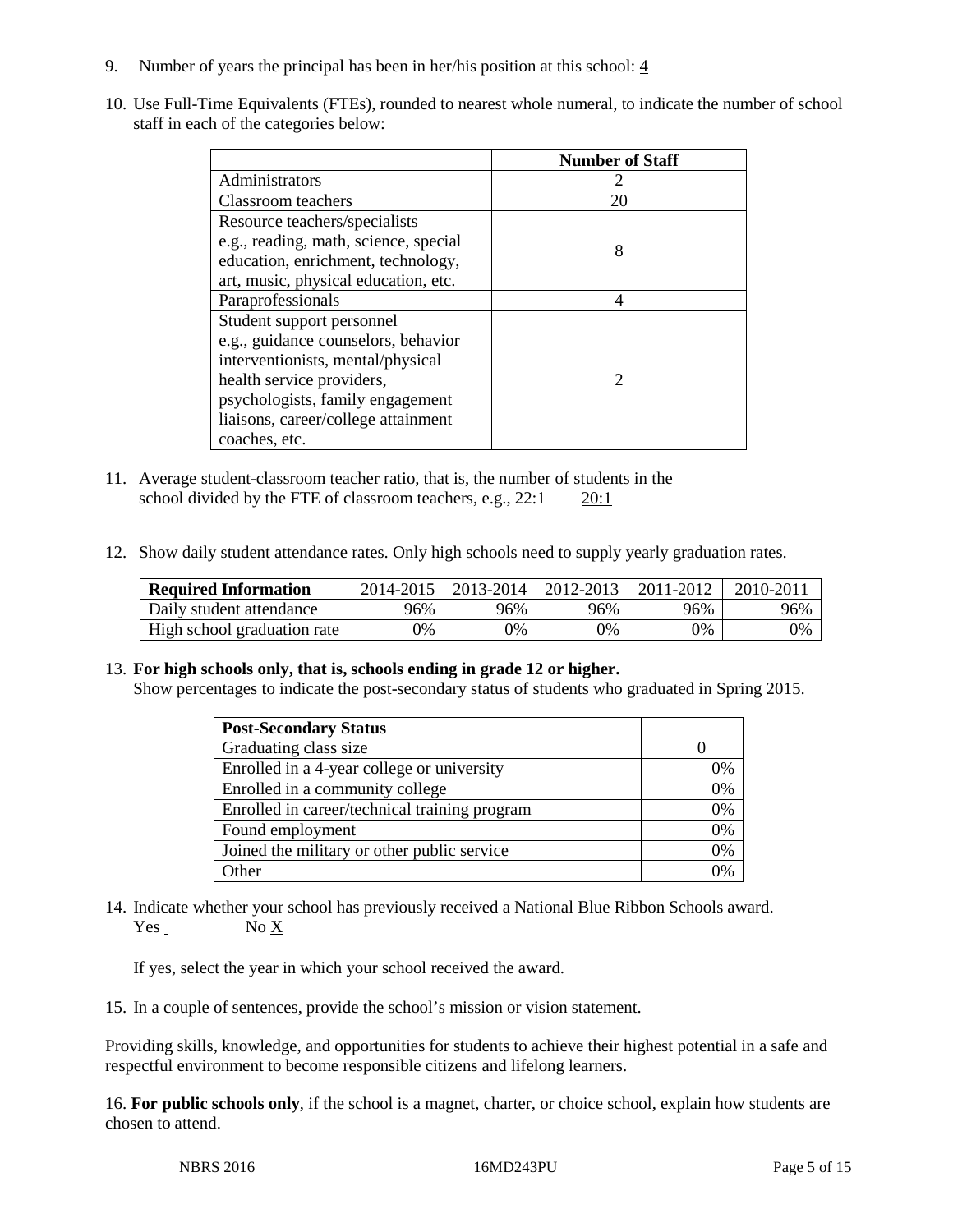- 9. Number of years the principal has been in her/his position at this school:  $\frac{4}{3}$
- 10. Use Full-Time Equivalents (FTEs), rounded to nearest whole numeral, to indicate the number of school staff in each of the categories below:

|                                       | <b>Number of Staff</b>      |
|---------------------------------------|-----------------------------|
| Administrators                        |                             |
| Classroom teachers                    | 20                          |
| Resource teachers/specialists         |                             |
| e.g., reading, math, science, special | 8                           |
| education, enrichment, technology,    |                             |
| art, music, physical education, etc.  |                             |
| Paraprofessionals                     |                             |
| Student support personnel             |                             |
| e.g., guidance counselors, behavior   |                             |
| interventionists, mental/physical     |                             |
| health service providers,             | $\mathcal{D}_{\mathcal{A}}$ |
| psychologists, family engagement      |                             |
| liaisons, career/college attainment   |                             |
| coaches, etc.                         |                             |

- 11. Average student-classroom teacher ratio, that is, the number of students in the school divided by the FTE of classroom teachers, e.g., 22:1 20:1
- 12. Show daily student attendance rates. Only high schools need to supply yearly graduation rates.

| <b>Required Information</b> | 2014-2015 | 2013-2014 | 2012-2013 | 2011-2012 | $2010 - 201$ |
|-----------------------------|-----------|-----------|-----------|-----------|--------------|
| Daily student attendance    | 96%       | 96%       | 96%       | 96%       | 96%          |
| High school graduation rate | 9%        | 0%        | 0%        | 9%        | 0%           |

# 13. **For high schools only, that is, schools ending in grade 12 or higher.**

Show percentages to indicate the post-secondary status of students who graduated in Spring 2015.

| <b>Post-Secondary Status</b>                  |    |
|-----------------------------------------------|----|
| Graduating class size                         |    |
| Enrolled in a 4-year college or university    | 0% |
| Enrolled in a community college               | 0% |
| Enrolled in career/technical training program | 0% |
| Found employment                              | 0% |
| Joined the military or other public service   | 0% |
| Other                                         | 0/ |

14. Indicate whether your school has previously received a National Blue Ribbon Schools award. Yes No X

If yes, select the year in which your school received the award.

15. In a couple of sentences, provide the school's mission or vision statement.

Providing skills, knowledge, and opportunities for students to achieve their highest potential in a safe and respectful environment to become responsible citizens and lifelong learners.

16. **For public schools only**, if the school is a magnet, charter, or choice school, explain how students are chosen to attend.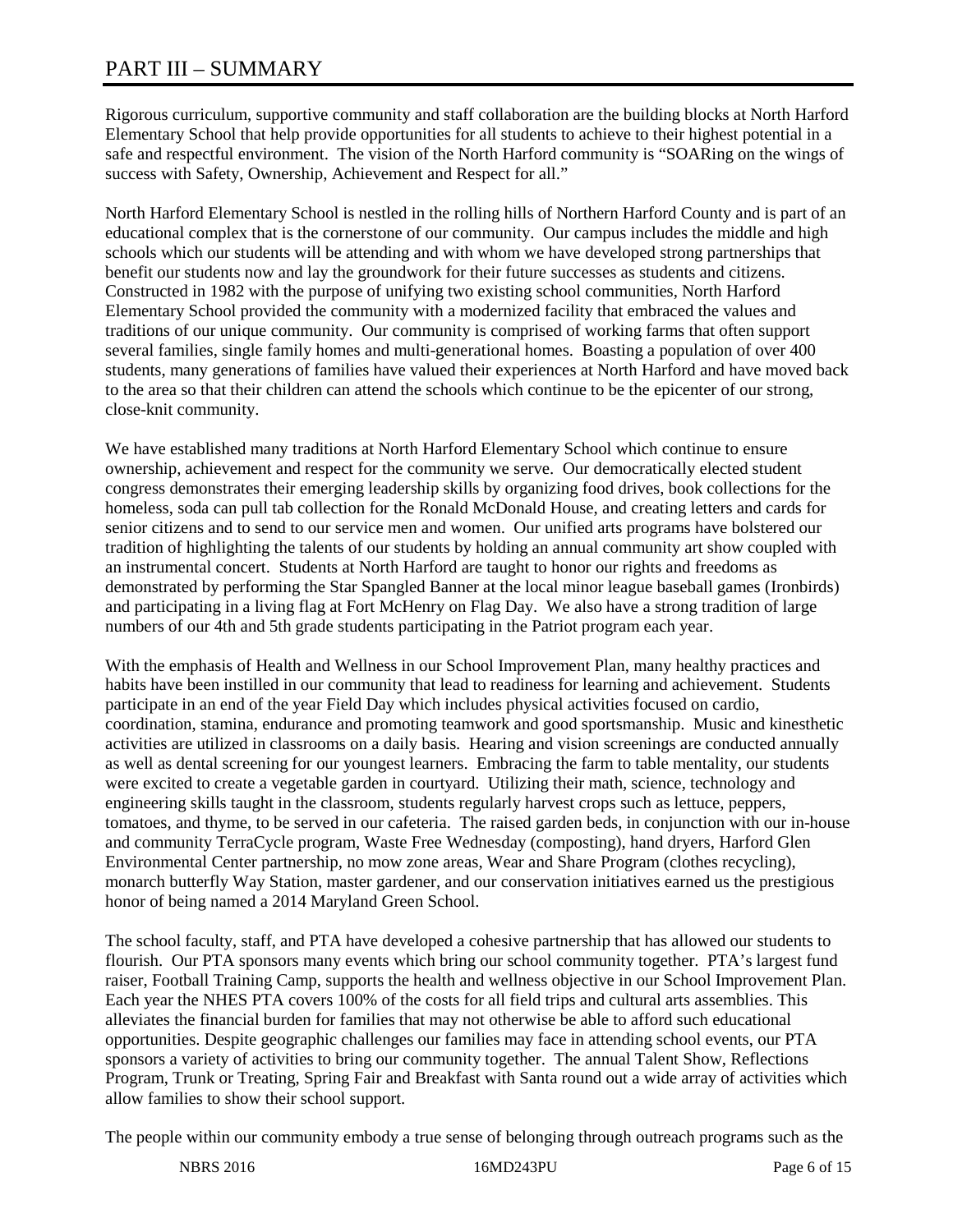# PART III – SUMMARY

Rigorous curriculum, supportive community and staff collaboration are the building blocks at North Harford Elementary School that help provide opportunities for all students to achieve to their highest potential in a safe and respectful environment. The vision of the North Harford community is "SOARing on the wings of success with Safety, Ownership, Achievement and Respect for all."

North Harford Elementary School is nestled in the rolling hills of Northern Harford County and is part of an educational complex that is the cornerstone of our community. Our campus includes the middle and high schools which our students will be attending and with whom we have developed strong partnerships that benefit our students now and lay the groundwork for their future successes as students and citizens. Constructed in 1982 with the purpose of unifying two existing school communities, North Harford Elementary School provided the community with a modernized facility that embraced the values and traditions of our unique community. Our community is comprised of working farms that often support several families, single family homes and multi-generational homes. Boasting a population of over 400 students, many generations of families have valued their experiences at North Harford and have moved back to the area so that their children can attend the schools which continue to be the epicenter of our strong, close-knit community.

We have established many traditions at North Harford Elementary School which continue to ensure ownership, achievement and respect for the community we serve. Our democratically elected student congress demonstrates their emerging leadership skills by organizing food drives, book collections for the homeless, soda can pull tab collection for the Ronald McDonald House, and creating letters and cards for senior citizens and to send to our service men and women. Our unified arts programs have bolstered our tradition of highlighting the talents of our students by holding an annual community art show coupled with an instrumental concert. Students at North Harford are taught to honor our rights and freedoms as demonstrated by performing the Star Spangled Banner at the local minor league baseball games (Ironbirds) and participating in a living flag at Fort McHenry on Flag Day. We also have a strong tradition of large numbers of our 4th and 5th grade students participating in the Patriot program each year.

With the emphasis of Health and Wellness in our School Improvement Plan, many healthy practices and habits have been instilled in our community that lead to readiness for learning and achievement. Students participate in an end of the year Field Day which includes physical activities focused on cardio, coordination, stamina, endurance and promoting teamwork and good sportsmanship. Music and kinesthetic activities are utilized in classrooms on a daily basis. Hearing and vision screenings are conducted annually as well as dental screening for our youngest learners. Embracing the farm to table mentality, our students were excited to create a vegetable garden in courtyard. Utilizing their math, science, technology and engineering skills taught in the classroom, students regularly harvest crops such as lettuce, peppers, tomatoes, and thyme, to be served in our cafeteria. The raised garden beds, in conjunction with our in-house and community TerraCycle program, Waste Free Wednesday (composting), hand dryers, Harford Glen Environmental Center partnership, no mow zone areas, Wear and Share Program (clothes recycling), monarch butterfly Way Station, master gardener, and our conservation initiatives earned us the prestigious honor of being named a 2014 Maryland Green School.

The school faculty, staff, and PTA have developed a cohesive partnership that has allowed our students to flourish. Our PTA sponsors many events which bring our school community together. PTA's largest fund raiser, Football Training Camp, supports the health and wellness objective in our School Improvement Plan. Each year the NHES PTA covers 100% of the costs for all field trips and cultural arts assemblies. This alleviates the financial burden for families that may not otherwise be able to afford such educational opportunities. Despite geographic challenges our families may face in attending school events, our PTA sponsors a variety of activities to bring our community together. The annual Talent Show, Reflections Program, Trunk or Treating, Spring Fair and Breakfast with Santa round out a wide array of activities which allow families to show their school support.

The people within our community embody a true sense of belonging through outreach programs such as the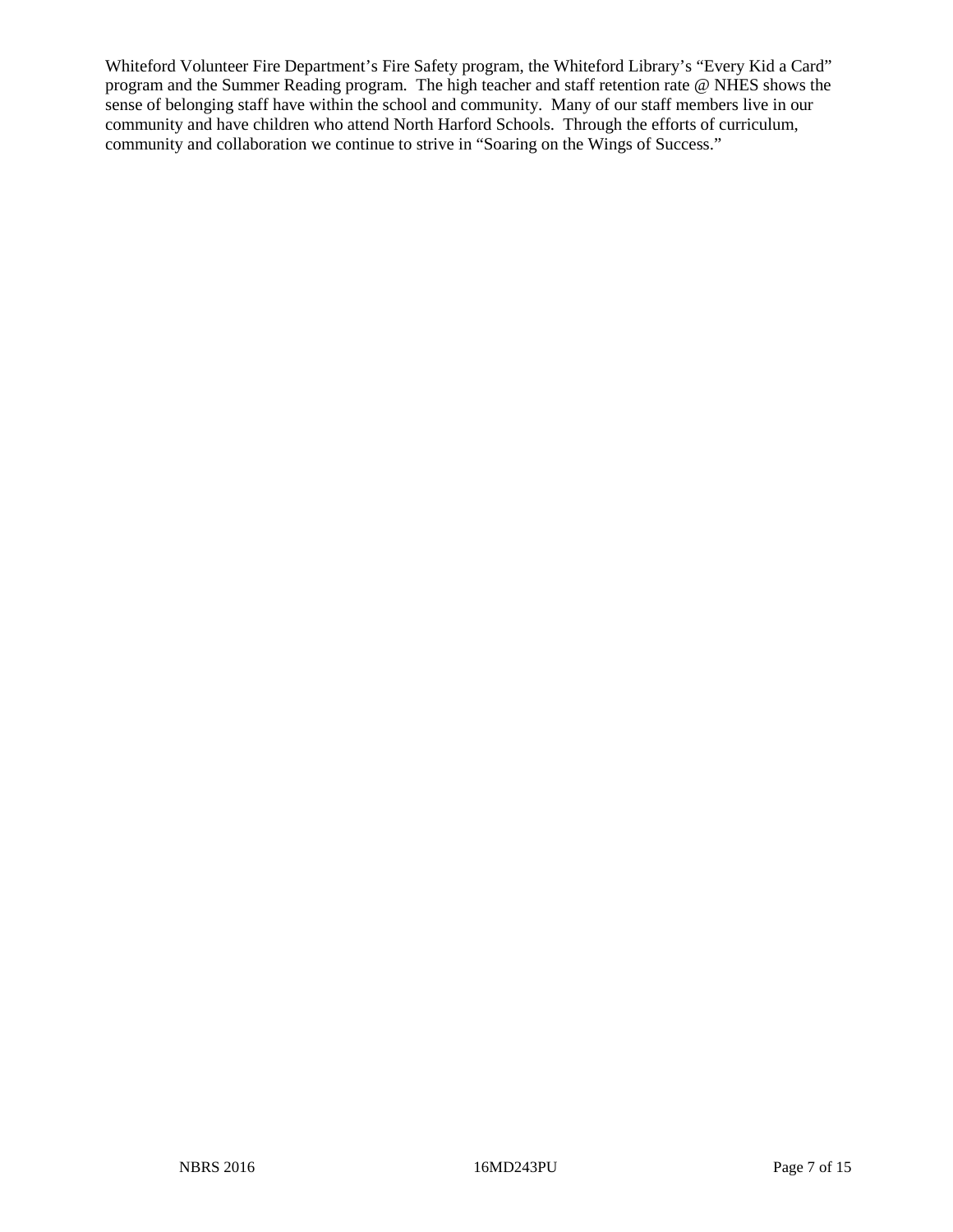Whiteford Volunteer Fire Department's Fire Safety program, the Whiteford Library's "Every Kid a Card" program and the Summer Reading program. The high teacher and staff retention rate @ NHES shows the sense of belonging staff have within the school and community. Many of our staff members live in our community and have children who attend North Harford Schools. Through the efforts of curriculum, community and collaboration we continue to strive in "Soaring on the Wings of Success."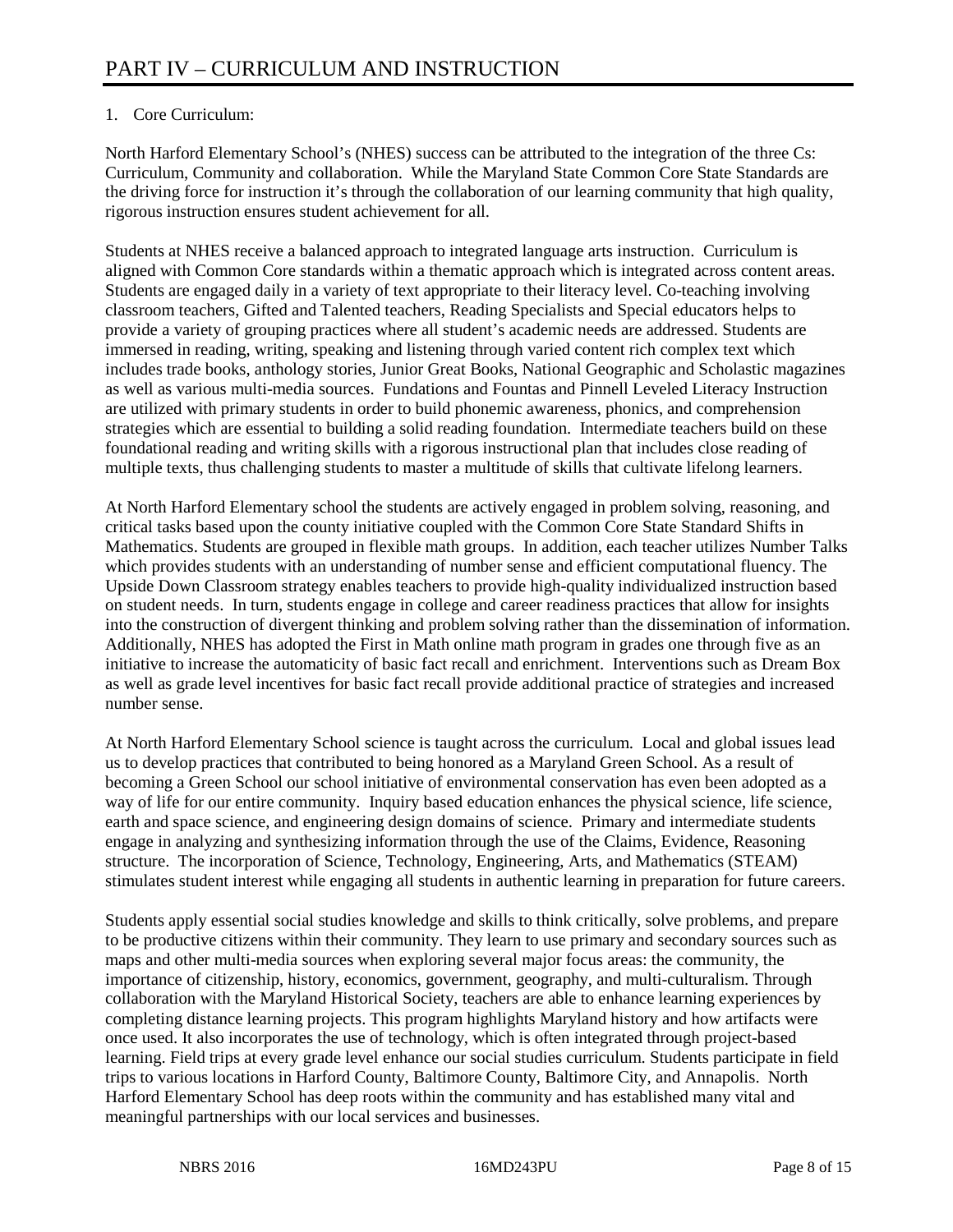# 1. Core Curriculum:

North Harford Elementary School's (NHES) success can be attributed to the integration of the three Cs: Curriculum, Community and collaboration. While the Maryland State Common Core State Standards are the driving force for instruction it's through the collaboration of our learning community that high quality, rigorous instruction ensures student achievement for all.

Students at NHES receive a balanced approach to integrated language arts instruction. Curriculum is aligned with Common Core standards within a thematic approach which is integrated across content areas. Students are engaged daily in a variety of text appropriate to their literacy level. Co-teaching involving classroom teachers, Gifted and Talented teachers, Reading Specialists and Special educators helps to provide a variety of grouping practices where all student's academic needs are addressed. Students are immersed in reading, writing, speaking and listening through varied content rich complex text which includes trade books, anthology stories, Junior Great Books, National Geographic and Scholastic magazines as well as various multi-media sources. Fundations and Fountas and Pinnell Leveled Literacy Instruction are utilized with primary students in order to build phonemic awareness, phonics, and comprehension strategies which are essential to building a solid reading foundation. Intermediate teachers build on these foundational reading and writing skills with a rigorous instructional plan that includes close reading of multiple texts, thus challenging students to master a multitude of skills that cultivate lifelong learners.

At North Harford Elementary school the students are actively engaged in problem solving, reasoning, and critical tasks based upon the county initiative coupled with the Common Core State Standard Shifts in Mathematics. Students are grouped in flexible math groups. In addition, each teacher utilizes Number Talks which provides students with an understanding of number sense and efficient computational fluency. The Upside Down Classroom strategy enables teachers to provide high-quality individualized instruction based on student needs. In turn, students engage in college and career readiness practices that allow for insights into the construction of divergent thinking and problem solving rather than the dissemination of information. Additionally, NHES has adopted the First in Math online math program in grades one through five as an initiative to increase the automaticity of basic fact recall and enrichment. Interventions such as Dream Box as well as grade level incentives for basic fact recall provide additional practice of strategies and increased number sense.

At North Harford Elementary School science is taught across the curriculum. Local and global issues lead us to develop practices that contributed to being honored as a Maryland Green School. As a result of becoming a Green School our school initiative of environmental conservation has even been adopted as a way of life for our entire community. Inquiry based education enhances the physical science, life science, earth and space science, and engineering design domains of science. Primary and intermediate students engage in analyzing and synthesizing information through the use of the Claims, Evidence, Reasoning structure. The incorporation of Science, Technology, Engineering, Arts, and Mathematics (STEAM) stimulates student interest while engaging all students in authentic learning in preparation for future careers.

Students apply essential social studies knowledge and skills to think critically, solve problems, and prepare to be productive citizens within their community. They learn to use primary and secondary sources such as maps and other multi-media sources when exploring several major focus areas: the community, the importance of citizenship, history, economics, government, geography, and multi-culturalism. Through collaboration with the Maryland Historical Society, teachers are able to enhance learning experiences by completing distance learning projects. This program highlights Maryland history and how artifacts were once used. It also incorporates the use of technology, which is often integrated through project-based learning. Field trips at every grade level enhance our social studies curriculum. Students participate in field trips to various locations in Harford County, Baltimore County, Baltimore City, and Annapolis. North Harford Elementary School has deep roots within the community and has established many vital and meaningful partnerships with our local services and businesses.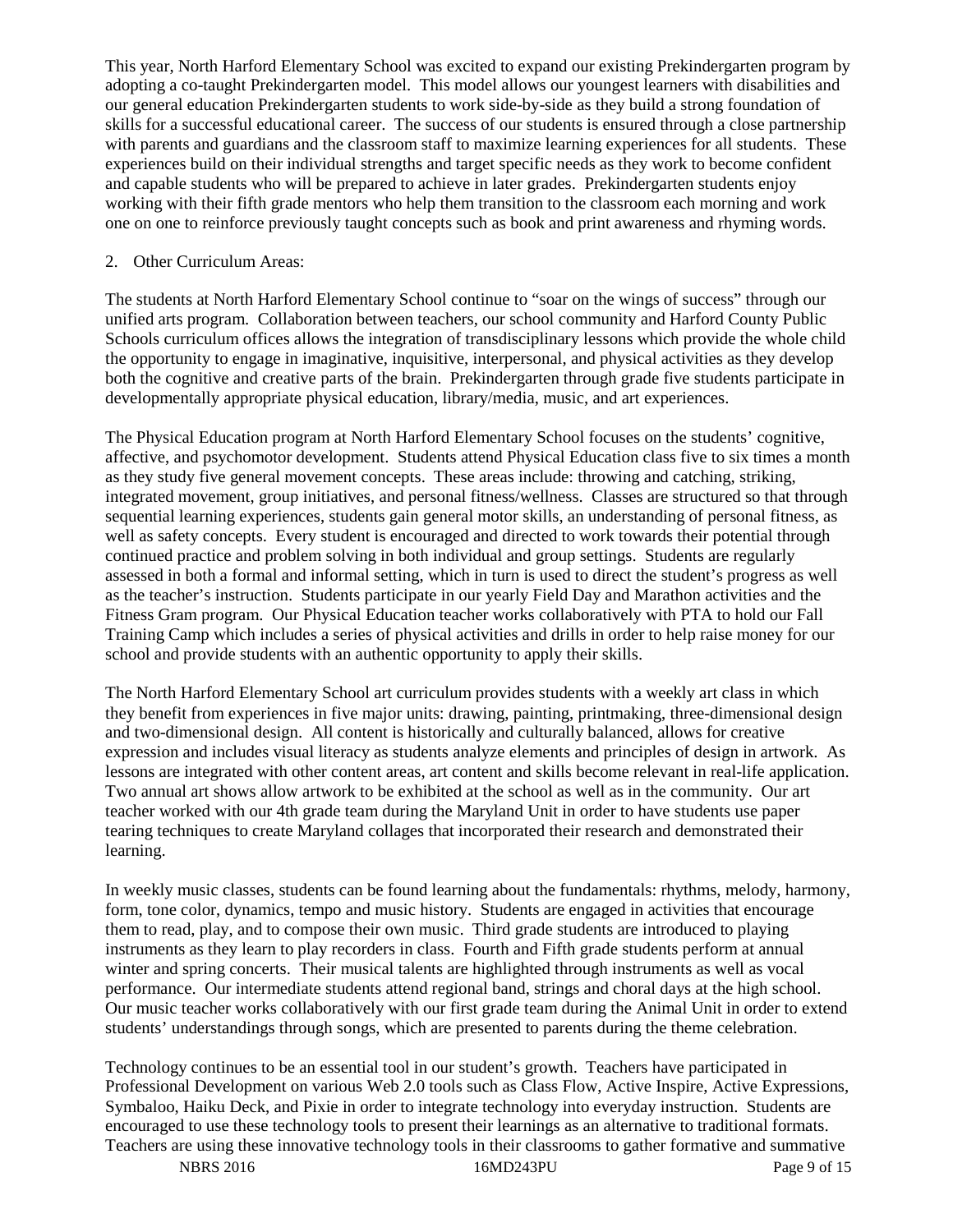This year, North Harford Elementary School was excited to expand our existing Prekindergarten program by adopting a co-taught Prekindergarten model. This model allows our youngest learners with disabilities and our general education Prekindergarten students to work side-by-side as they build a strong foundation of skills for a successful educational career. The success of our students is ensured through a close partnership with parents and guardians and the classroom staff to maximize learning experiences for all students. These experiences build on their individual strengths and target specific needs as they work to become confident and capable students who will be prepared to achieve in later grades. Prekindergarten students enjoy working with their fifth grade mentors who help them transition to the classroom each morning and work one on one to reinforce previously taught concepts such as book and print awareness and rhyming words.

# 2. Other Curriculum Areas:

The students at North Harford Elementary School continue to "soar on the wings of success" through our unified arts program. Collaboration between teachers, our school community and Harford County Public Schools curriculum offices allows the integration of transdisciplinary lessons which provide the whole child the opportunity to engage in imaginative, inquisitive, interpersonal, and physical activities as they develop both the cognitive and creative parts of the brain. Prekindergarten through grade five students participate in developmentally appropriate physical education, library/media, music, and art experiences.

The Physical Education program at North Harford Elementary School focuses on the students' cognitive, affective, and psychomotor development. Students attend Physical Education class five to six times a month as they study five general movement concepts. These areas include: throwing and catching, striking, integrated movement, group initiatives, and personal fitness/wellness. Classes are structured so that through sequential learning experiences, students gain general motor skills, an understanding of personal fitness, as well as safety concepts. Every student is encouraged and directed to work towards their potential through continued practice and problem solving in both individual and group settings. Students are regularly assessed in both a formal and informal setting, which in turn is used to direct the student's progress as well as the teacher's instruction. Students participate in our yearly Field Day and Marathon activities and the Fitness Gram program. Our Physical Education teacher works collaboratively with PTA to hold our Fall Training Camp which includes a series of physical activities and drills in order to help raise money for our school and provide students with an authentic opportunity to apply their skills.

The North Harford Elementary School art curriculum provides students with a weekly art class in which they benefit from experiences in five major units: drawing, painting, printmaking, three-dimensional design and two-dimensional design. All content is historically and culturally balanced, allows for creative expression and includes visual literacy as students analyze elements and principles of design in artwork. As lessons are integrated with other content areas, art content and skills become relevant in real-life application. Two annual art shows allow artwork to be exhibited at the school as well as in the community. Our art teacher worked with our 4th grade team during the Maryland Unit in order to have students use paper tearing techniques to create Maryland collages that incorporated their research and demonstrated their learning.

In weekly music classes, students can be found learning about the fundamentals: rhythms, melody, harmony, form, tone color, dynamics, tempo and music history. Students are engaged in activities that encourage them to read, play, and to compose their own music. Third grade students are introduced to playing instruments as they learn to play recorders in class. Fourth and Fifth grade students perform at annual winter and spring concerts. Their musical talents are highlighted through instruments as well as vocal performance. Our intermediate students attend regional band, strings and choral days at the high school. Our music teacher works collaboratively with our first grade team during the Animal Unit in order to extend students' understandings through songs, which are presented to parents during the theme celebration.

Technology continues to be an essential tool in our student's growth. Teachers have participated in Professional Development on various Web 2.0 tools such as Class Flow, Active Inspire, Active Expressions, Symbaloo, Haiku Deck, and Pixie in order to integrate technology into everyday instruction. Students are encouraged to use these technology tools to present their learnings as an alternative to traditional formats. Teachers are using these innovative technology tools in their classrooms to gather formative and summative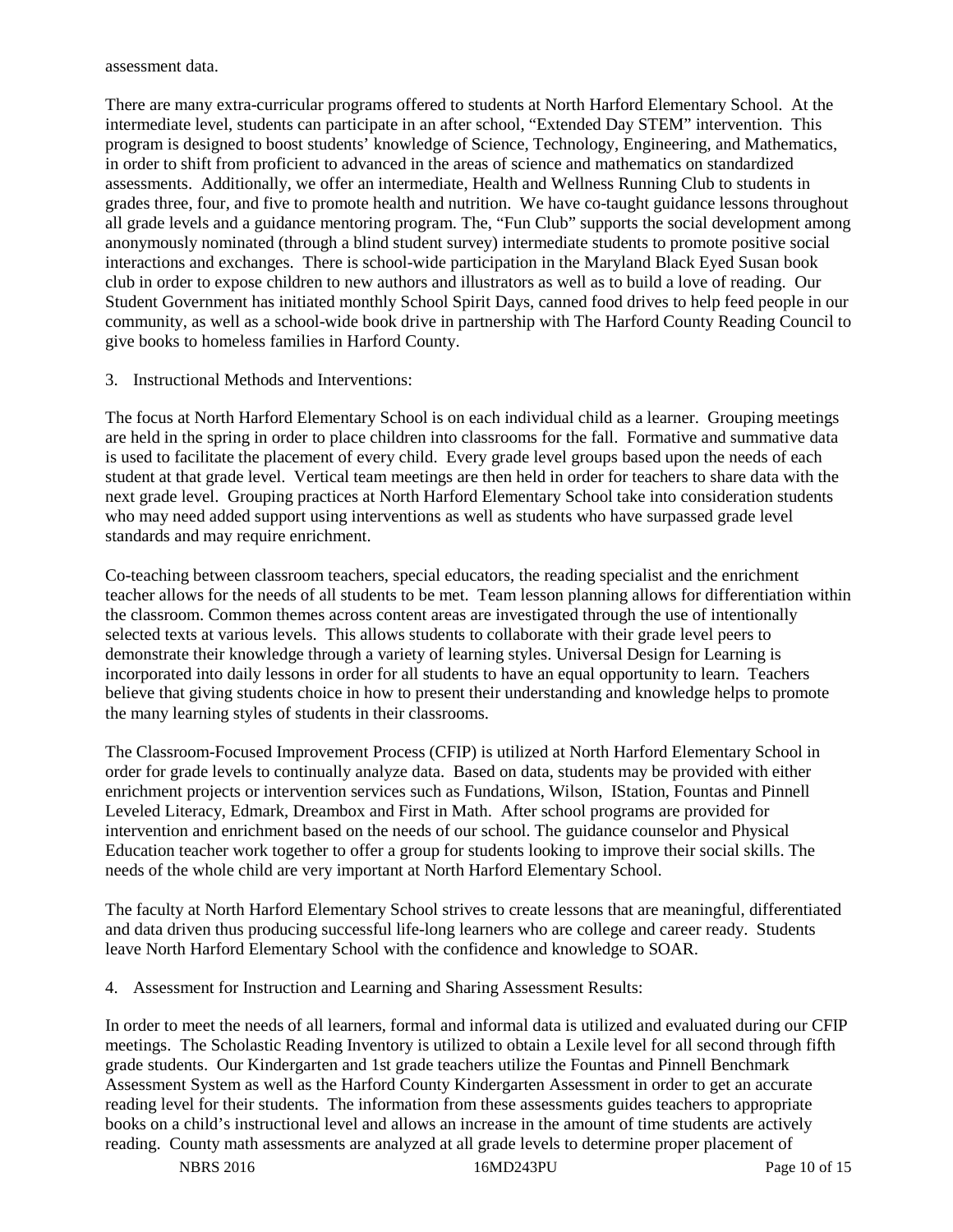assessment data.

There are many extra-curricular programs offered to students at North Harford Elementary School. At the intermediate level, students can participate in an after school, "Extended Day STEM" intervention. This program is designed to boost students' knowledge of Science, Technology, Engineering, and Mathematics, in order to shift from proficient to advanced in the areas of science and mathematics on standardized assessments. Additionally, we offer an intermediate, Health and Wellness Running Club to students in grades three, four, and five to promote health and nutrition. We have co-taught guidance lessons throughout all grade levels and a guidance mentoring program. The, "Fun Club" supports the social development among anonymously nominated (through a blind student survey) intermediate students to promote positive social interactions and exchanges. There is school-wide participation in the Maryland Black Eyed Susan book club in order to expose children to new authors and illustrators as well as to build a love of reading. Our Student Government has initiated monthly School Spirit Days, canned food drives to help feed people in our community, as well as a school-wide book drive in partnership with The Harford County Reading Council to give books to homeless families in Harford County.

3. Instructional Methods and Interventions:

The focus at North Harford Elementary School is on each individual child as a learner. Grouping meetings are held in the spring in order to place children into classrooms for the fall. Formative and summative data is used to facilitate the placement of every child. Every grade level groups based upon the needs of each student at that grade level. Vertical team meetings are then held in order for teachers to share data with the next grade level. Grouping practices at North Harford Elementary School take into consideration students who may need added support using interventions as well as students who have surpassed grade level standards and may require enrichment.

Co-teaching between classroom teachers, special educators, the reading specialist and the enrichment teacher allows for the needs of all students to be met. Team lesson planning allows for differentiation within the classroom. Common themes across content areas are investigated through the use of intentionally selected texts at various levels. This allows students to collaborate with their grade level peers to demonstrate their knowledge through a variety of learning styles. Universal Design for Learning is incorporated into daily lessons in order for all students to have an equal opportunity to learn. Teachers believe that giving students choice in how to present their understanding and knowledge helps to promote the many learning styles of students in their classrooms.

The Classroom-Focused Improvement Process (CFIP) is utilized at North Harford Elementary School in order for grade levels to continually analyze data. Based on data, students may be provided with either enrichment projects or intervention services such as Fundations, Wilson, IStation, Fountas and Pinnell Leveled Literacy, Edmark, Dreambox and First in Math. After school programs are provided for intervention and enrichment based on the needs of our school. The guidance counselor and Physical Education teacher work together to offer a group for students looking to improve their social skills. The needs of the whole child are very important at North Harford Elementary School.

The faculty at North Harford Elementary School strives to create lessons that are meaningful, differentiated and data driven thus producing successful life-long learners who are college and career ready. Students leave North Harford Elementary School with the confidence and knowledge to SOAR.

4. Assessment for Instruction and Learning and Sharing Assessment Results:

In order to meet the needs of all learners, formal and informal data is utilized and evaluated during our CFIP meetings. The Scholastic Reading Inventory is utilized to obtain a Lexile level for all second through fifth grade students. Our Kindergarten and 1st grade teachers utilize the Fountas and Pinnell Benchmark Assessment System as well as the Harford County Kindergarten Assessment in order to get an accurate reading level for their students. The information from these assessments guides teachers to appropriate books on a child's instructional level and allows an increase in the amount of time students are actively reading. County math assessments are analyzed at all grade levels to determine proper placement of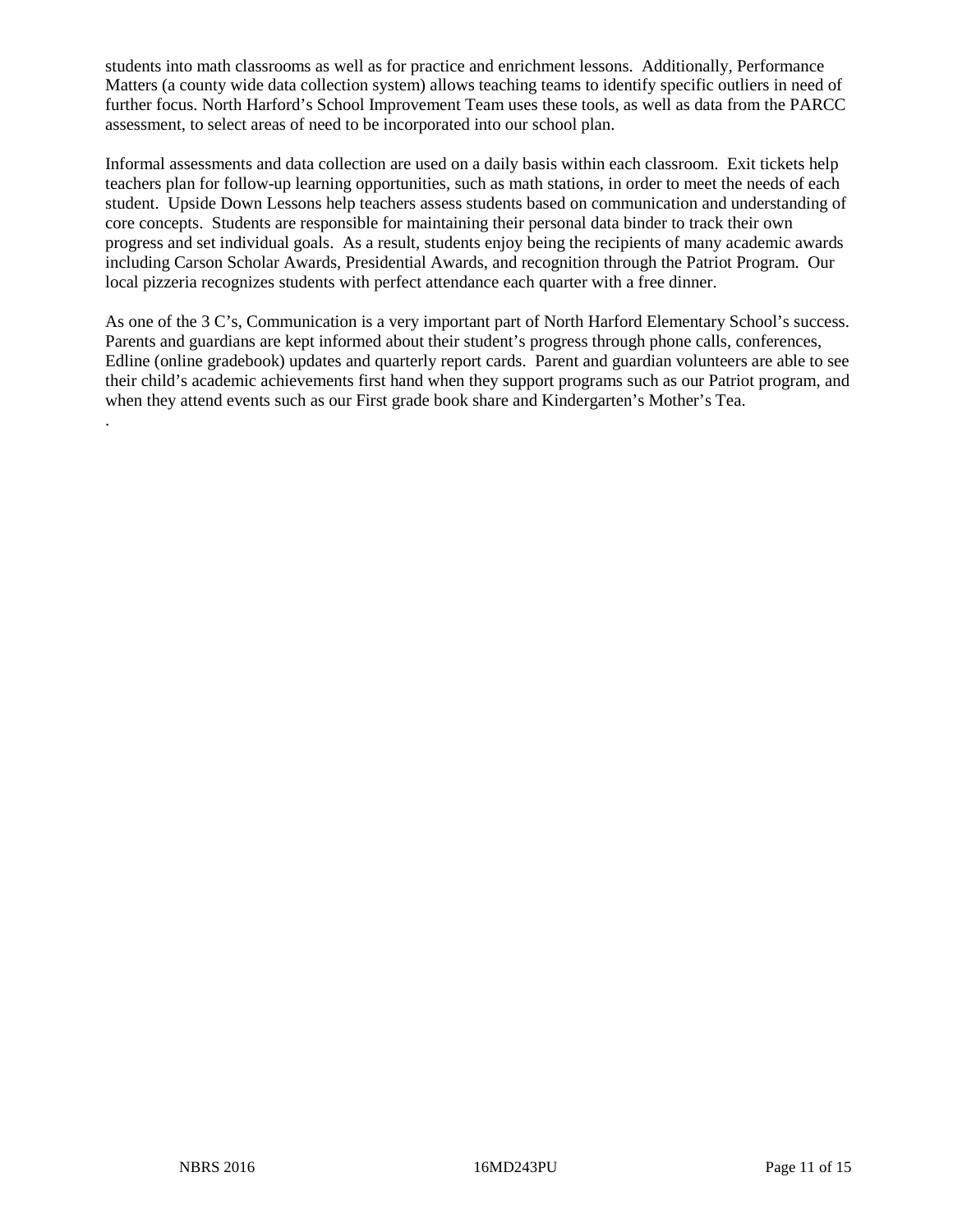students into math classrooms as well as for practice and enrichment lessons. Additionally, Performance Matters (a county wide data collection system) allows teaching teams to identify specific outliers in need of further focus. North Harford's School Improvement Team uses these tools, as well as data from the PARCC assessment, to select areas of need to be incorporated into our school plan.

Informal assessments and data collection are used on a daily basis within each classroom. Exit tickets help teachers plan for follow-up learning opportunities, such as math stations, in order to meet the needs of each student. Upside Down Lessons help teachers assess students based on communication and understanding of core concepts. Students are responsible for maintaining their personal data binder to track their own progress and set individual goals. As a result, students enjoy being the recipients of many academic awards including Carson Scholar Awards, Presidential Awards, and recognition through the Patriot Program. Our local pizzeria recognizes students with perfect attendance each quarter with a free dinner.

As one of the 3 C's, Communication is a very important part of North Harford Elementary School's success. Parents and guardians are kept informed about their student's progress through phone calls, conferences, Edline (online gradebook) updates and quarterly report cards. Parent and guardian volunteers are able to see their child's academic achievements first hand when they support programs such as our Patriot program, and when they attend events such as our First grade book share and Kindergarten's Mother's Tea.

.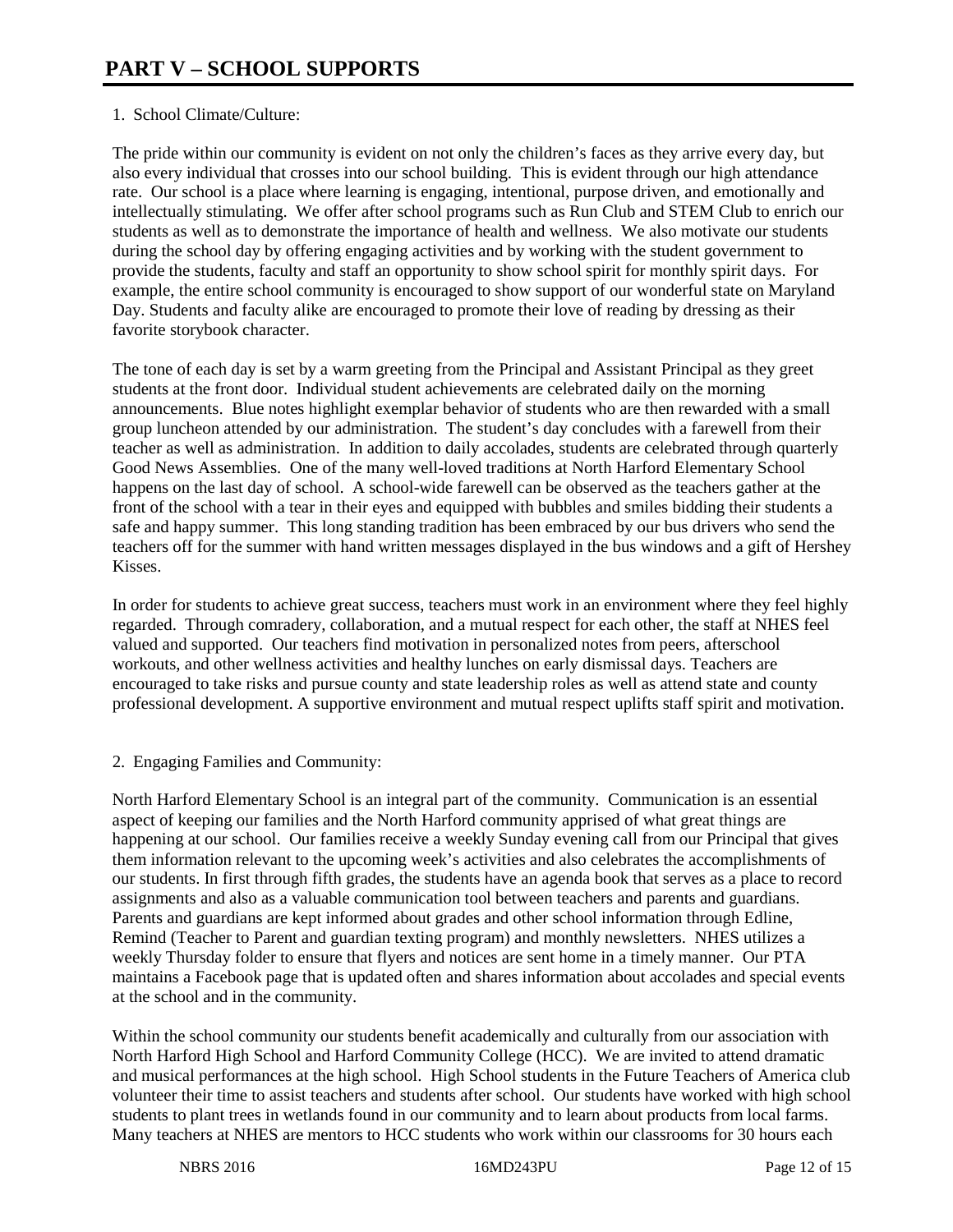# 1. School Climate/Culture:

The pride within our community is evident on not only the children's faces as they arrive every day, but also every individual that crosses into our school building. This is evident through our high attendance rate. Our school is a place where learning is engaging, intentional, purpose driven, and emotionally and intellectually stimulating. We offer after school programs such as Run Club and STEM Club to enrich our students as well as to demonstrate the importance of health and wellness. We also motivate our students during the school day by offering engaging activities and by working with the student government to provide the students, faculty and staff an opportunity to show school spirit for monthly spirit days. For example, the entire school community is encouraged to show support of our wonderful state on Maryland Day. Students and faculty alike are encouraged to promote their love of reading by dressing as their favorite storybook character.

The tone of each day is set by a warm greeting from the Principal and Assistant Principal as they greet students at the front door. Individual student achievements are celebrated daily on the morning announcements. Blue notes highlight exemplar behavior of students who are then rewarded with a small group luncheon attended by our administration. The student's day concludes with a farewell from their teacher as well as administration. In addition to daily accolades, students are celebrated through quarterly Good News Assemblies. One of the many well-loved traditions at North Harford Elementary School happens on the last day of school. A school-wide farewell can be observed as the teachers gather at the front of the school with a tear in their eyes and equipped with bubbles and smiles bidding their students a safe and happy summer. This long standing tradition has been embraced by our bus drivers who send the teachers off for the summer with hand written messages displayed in the bus windows and a gift of Hershey Kisses.

In order for students to achieve great success, teachers must work in an environment where they feel highly regarded. Through comradery, collaboration, and a mutual respect for each other, the staff at NHES feel valued and supported. Our teachers find motivation in personalized notes from peers, afterschool workouts, and other wellness activities and healthy lunches on early dismissal days. Teachers are encouraged to take risks and pursue county and state leadership roles as well as attend state and county professional development. A supportive environment and mutual respect uplifts staff spirit and motivation.

2. Engaging Families and Community:

North Harford Elementary School is an integral part of the community. Communication is an essential aspect of keeping our families and the North Harford community apprised of what great things are happening at our school. Our families receive a weekly Sunday evening call from our Principal that gives them information relevant to the upcoming week's activities and also celebrates the accomplishments of our students. In first through fifth grades, the students have an agenda book that serves as a place to record assignments and also as a valuable communication tool between teachers and parents and guardians. Parents and guardians are kept informed about grades and other school information through Edline, Remind (Teacher to Parent and guardian texting program) and monthly newsletters. NHES utilizes a weekly Thursday folder to ensure that flyers and notices are sent home in a timely manner. Our PTA maintains a Facebook page that is updated often and shares information about accolades and special events at the school and in the community.

Within the school community our students benefit academically and culturally from our association with North Harford High School and Harford Community College (HCC). We are invited to attend dramatic and musical performances at the high school. High School students in the Future Teachers of America club volunteer their time to assist teachers and students after school. Our students have worked with high school students to plant trees in wetlands found in our community and to learn about products from local farms. Many teachers at NHES are mentors to HCC students who work within our classrooms for 30 hours each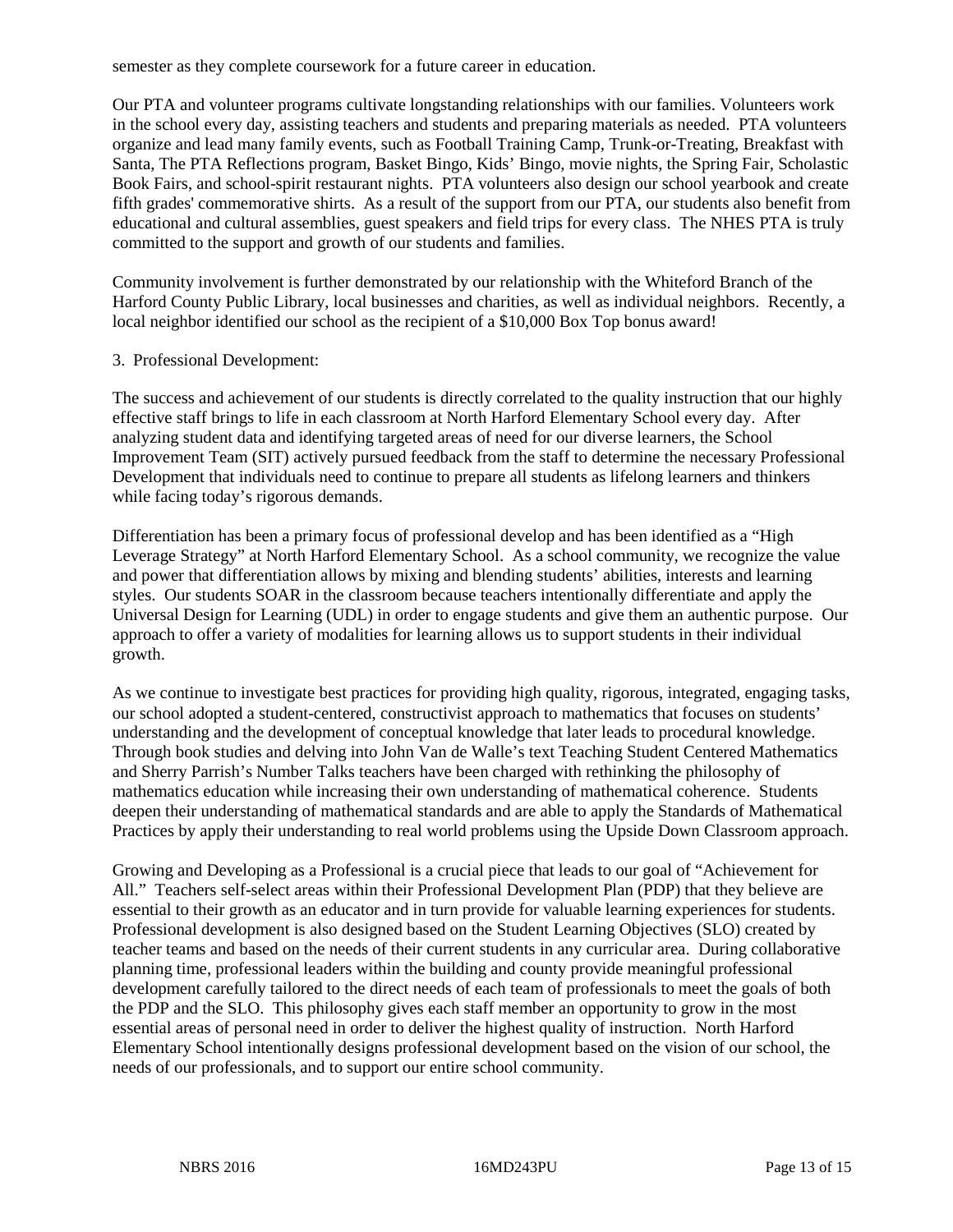semester as they complete coursework for a future career in education.

Our PTA and volunteer programs cultivate longstanding relationships with our families. Volunteers work in the school every day, assisting teachers and students and preparing materials as needed. PTA volunteers organize and lead many family events, such as Football Training Camp, Trunk-or-Treating, Breakfast with Santa, The PTA Reflections program, Basket Bingo, Kids' Bingo, movie nights, the Spring Fair, Scholastic Book Fairs, and school-spirit restaurant nights. PTA volunteers also design our school yearbook and create fifth grades' commemorative shirts. As a result of the support from our PTA, our students also benefit from educational and cultural assemblies, guest speakers and field trips for every class. The NHES PTA is truly committed to the support and growth of our students and families.

Community involvement is further demonstrated by our relationship with the Whiteford Branch of the Harford County Public Library, local businesses and charities, as well as individual neighbors. Recently, a local neighbor identified our school as the recipient of a \$10,000 Box Top bonus award!

#### 3. Professional Development:

The success and achievement of our students is directly correlated to the quality instruction that our highly effective staff brings to life in each classroom at North Harford Elementary School every day. After analyzing student data and identifying targeted areas of need for our diverse learners, the School Improvement Team (SIT) actively pursued feedback from the staff to determine the necessary Professional Development that individuals need to continue to prepare all students as lifelong learners and thinkers while facing today's rigorous demands.

Differentiation has been a primary focus of professional develop and has been identified as a "High Leverage Strategy" at North Harford Elementary School. As a school community, we recognize the value and power that differentiation allows by mixing and blending students' abilities, interests and learning styles. Our students SOAR in the classroom because teachers intentionally differentiate and apply the Universal Design for Learning (UDL) in order to engage students and give them an authentic purpose. Our approach to offer a variety of modalities for learning allows us to support students in their individual growth.

As we continue to investigate best practices for providing high quality, rigorous, integrated, engaging tasks, our school adopted a student-centered, constructivist approach to mathematics that focuses on students' understanding and the development of conceptual knowledge that later leads to procedural knowledge. Through book studies and delving into John Van de Walle's text Teaching Student Centered Mathematics and Sherry Parrish's Number Talks teachers have been charged with rethinking the philosophy of mathematics education while increasing their own understanding of mathematical coherence. Students deepen their understanding of mathematical standards and are able to apply the Standards of Mathematical Practices by apply their understanding to real world problems using the Upside Down Classroom approach.

Growing and Developing as a Professional is a crucial piece that leads to our goal of "Achievement for All." Teachers self-select areas within their Professional Development Plan (PDP) that they believe are essential to their growth as an educator and in turn provide for valuable learning experiences for students. Professional development is also designed based on the Student Learning Objectives (SLO) created by teacher teams and based on the needs of their current students in any curricular area. During collaborative planning time, professional leaders within the building and county provide meaningful professional development carefully tailored to the direct needs of each team of professionals to meet the goals of both the PDP and the SLO. This philosophy gives each staff member an opportunity to grow in the most essential areas of personal need in order to deliver the highest quality of instruction. North Harford Elementary School intentionally designs professional development based on the vision of our school, the needs of our professionals, and to support our entire school community.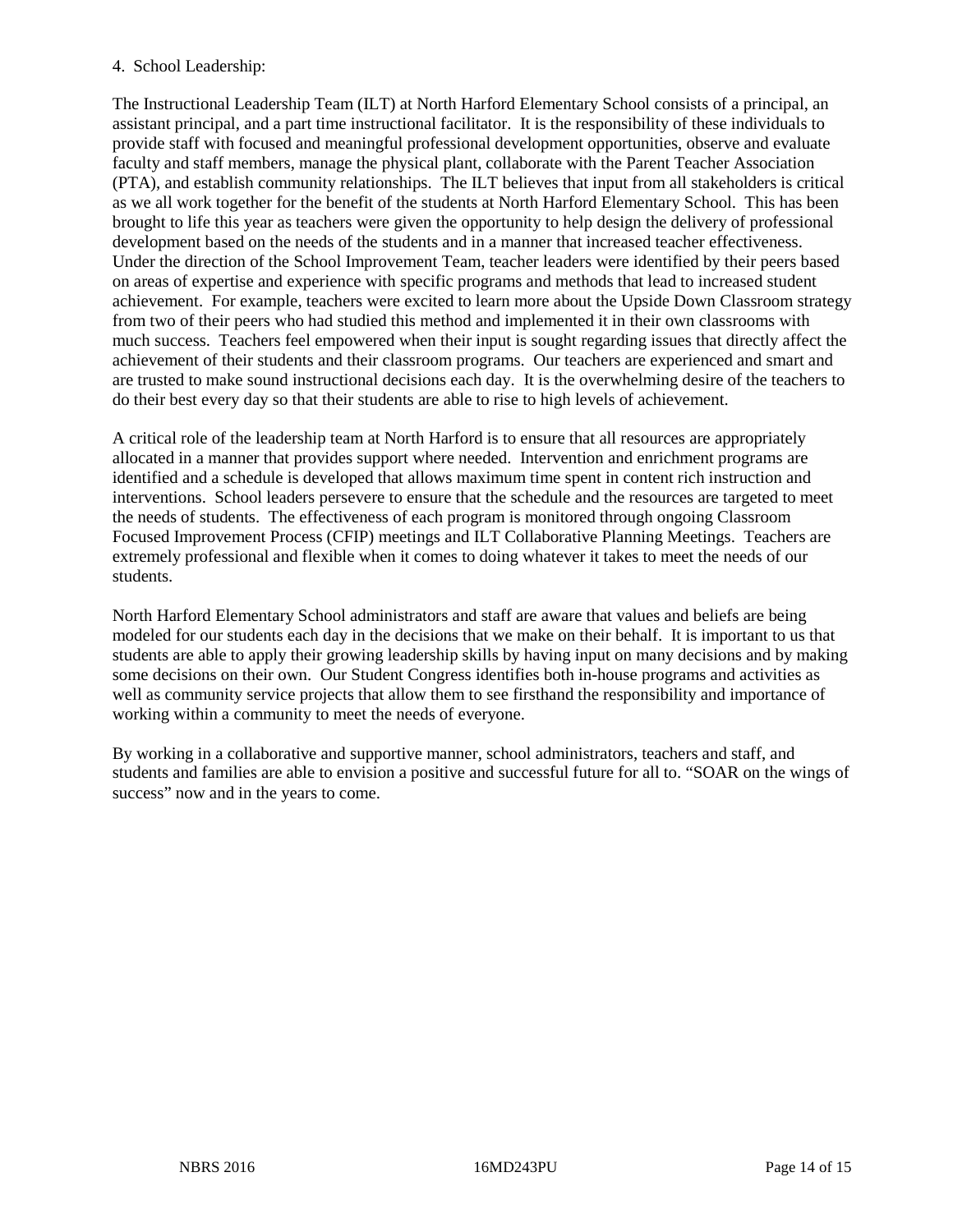# 4. School Leadership:

The Instructional Leadership Team (ILT) at North Harford Elementary School consists of a principal, an assistant principal, and a part time instructional facilitator. It is the responsibility of these individuals to provide staff with focused and meaningful professional development opportunities, observe and evaluate faculty and staff members, manage the physical plant, collaborate with the Parent Teacher Association (PTA), and establish community relationships. The ILT believes that input from all stakeholders is critical as we all work together for the benefit of the students at North Harford Elementary School. This has been brought to life this year as teachers were given the opportunity to help design the delivery of professional development based on the needs of the students and in a manner that increased teacher effectiveness. Under the direction of the School Improvement Team, teacher leaders were identified by their peers based on areas of expertise and experience with specific programs and methods that lead to increased student achievement. For example, teachers were excited to learn more about the Upside Down Classroom strategy from two of their peers who had studied this method and implemented it in their own classrooms with much success. Teachers feel empowered when their input is sought regarding issues that directly affect the achievement of their students and their classroom programs. Our teachers are experienced and smart and are trusted to make sound instructional decisions each day. It is the overwhelming desire of the teachers to do their best every day so that their students are able to rise to high levels of achievement.

A critical role of the leadership team at North Harford is to ensure that all resources are appropriately allocated in a manner that provides support where needed. Intervention and enrichment programs are identified and a schedule is developed that allows maximum time spent in content rich instruction and interventions. School leaders persevere to ensure that the schedule and the resources are targeted to meet the needs of students. The effectiveness of each program is monitored through ongoing Classroom Focused Improvement Process (CFIP) meetings and ILT Collaborative Planning Meetings. Teachers are extremely professional and flexible when it comes to doing whatever it takes to meet the needs of our students.

North Harford Elementary School administrators and staff are aware that values and beliefs are being modeled for our students each day in the decisions that we make on their behalf. It is important to us that students are able to apply their growing leadership skills by having input on many decisions and by making some decisions on their own. Our Student Congress identifies both in-house programs and activities as well as community service projects that allow them to see firsthand the responsibility and importance of working within a community to meet the needs of everyone.

By working in a collaborative and supportive manner, school administrators, teachers and staff, and students and families are able to envision a positive and successful future for all to. "SOAR on the wings of success" now and in the years to come.